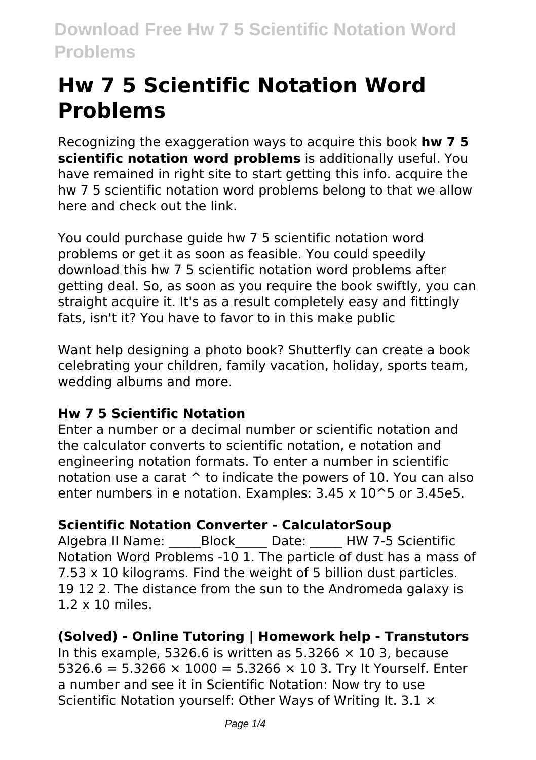# **Hw 7 5 Scientific Notation Word Problems**

Recognizing the exaggeration ways to acquire this book **hw 7 5 scientific notation word problems** is additionally useful. You have remained in right site to start getting this info, acquire the hw 7 5 scientific notation word problems belong to that we allow here and check out the link.

You could purchase guide hw 7 5 scientific notation word problems or get it as soon as feasible. You could speedily download this hw 7 5 scientific notation word problems after getting deal. So, as soon as you require the book swiftly, you can straight acquire it. It's as a result completely easy and fittingly fats, isn't it? You have to favor to in this make public

Want help designing a photo book? Shutterfly can create a book celebrating your children, family vacation, holiday, sports team, wedding albums and more.

### **Hw 7 5 Scientific Notation**

Enter a number or a decimal number or scientific notation and the calculator converts to scientific notation, e notation and engineering notation formats. To enter a number in scientific notation use a carat ^ to indicate the powers of 10. You can also enter numbers in e notation. Examples: 3.45 x 10^5 or 3.45e5.

### **Scientific Notation Converter - CalculatorSoup**

Algebra II Name: \_\_\_\_\_Block\_\_\_\_ Date: HW 7-5 Scientific Notation Word Problems -10 1. The particle of dust has a mass of 7.53 x 10 kilograms. Find the weight of 5 billion dust particles. 19 12 2. The distance from the sun to the Andromeda galaxy is 1.2 x 10 miles.

### **(Solved) - Online Tutoring | Homework help - Transtutors**

In this example, 5326.6 is written as 5.3266  $\times$  10 3, because 5326.6 = 5.3266  $\times$  1000 = 5.3266  $\times$  10 3. Trv It Yourself. Enter a number and see it in Scientific Notation: Now try to use Scientific Notation yourself: Other Ways of Writing It. 3.1  $\times$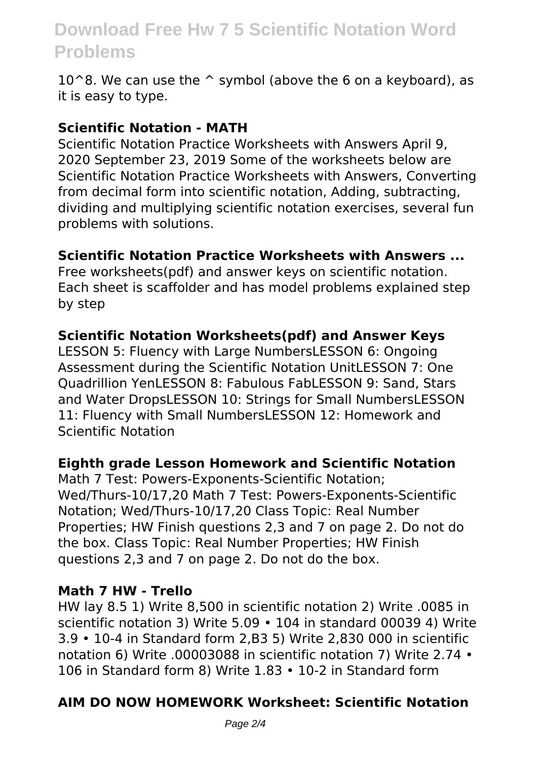# **Download Free Hw 7 5 Scientific Notation Word Problems**

10 $^{\circ}$ 8. We can use the  $^{\circ}$  symbol (above the 6 on a keyboard), as it is easy to type.

#### **Scientific Notation - MATH**

Scientific Notation Practice Worksheets with Answers April 9, 2020 September 23, 2019 Some of the worksheets below are Scientific Notation Practice Worksheets with Answers, Converting from decimal form into scientific notation, Adding, subtracting, dividing and multiplying scientific notation exercises, several fun problems with solutions.

#### **Scientific Notation Practice Worksheets with Answers ...**

Free worksheets(pdf) and answer keys on scientific notation. Each sheet is scaffolder and has model problems explained step by step

#### **Scientific Notation Worksheets(pdf) and Answer Keys**

LESSON 5: Fluency with Large NumbersLESSON 6: Ongoing Assessment during the Scientific Notation UnitLESSON 7: One Quadrillion YenLESSON 8: Fabulous FabLESSON 9: Sand, Stars and Water DropsLESSON 10: Strings for Small NumbersLESSON 11: Fluency with Small NumbersLESSON 12: Homework and Scientific Notation

#### **Eighth grade Lesson Homework and Scientific Notation**

Math 7 Test: Powers-Exponents-Scientific Notation; Wed/Thurs-10/17,20 Math 7 Test: Powers-Exponents-Scientific Notation; Wed/Thurs-10/17,20 Class Topic: Real Number Properties; HW Finish questions 2,3 and 7 on page 2. Do not do the box. Class Topic: Real Number Properties; HW Finish questions 2,3 and 7 on page 2. Do not do the box.

#### **Math 7 HW - Trello**

HW lay 8.5 1) Write 8,500 in scientific notation 2) Write .0085 in scientific notation 3) Write 5.09 • 104 in standard 00039 4) Write 3.9 • 10-4 in Standard form 2,B3 5) Write 2,830 000 in scientific notation 6) Write .00003088 in scientific notation 7) Write 2.74 • 106 in Standard form 8) Write 1.83 • 10-2 in Standard form

#### **AIM DO NOW HOMEWORK Worksheet: Scientific Notation**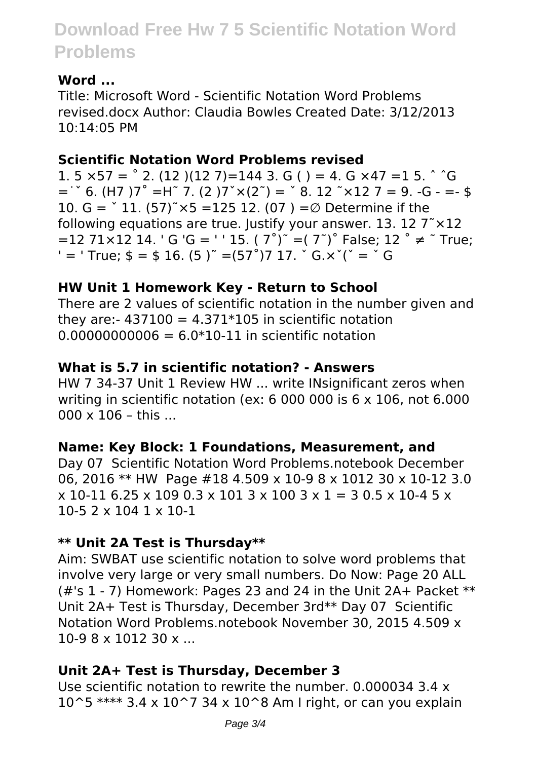# **Download Free Hw 7 5 Scientific Notation Word Problems**

#### **Word ...**

Title: Microsoft Word - Scientific Notation Word Problems revised.docx Author: Claudia Bowles Created Date: 3/12/2013 10:14:05 PM

#### **Scientific Notation Word Problems revised**

1.  $5 \times 57 =$   $^{\circ}$  2. (12 )(12 7)=144 3. G ( ) = 4. G  $\times$  47 = 1 5.  $^{\circ}$   $^{\circ}$ G  $=$   $\degree$  6. (H7 )7 $\degree$  =H $\degree$  7. (2 )7 $\degree$   $\times$  (2 $\degree$ ) =  $\degree$  8. 12  $\degree$   $\times$  12 7 = 9. -G - =- \$ 10. G =  $\degree$  11. (57) $\degree$  ×5 = 125 12. (07) = Ø Determine if the following equations are true. Justify your answer. 13. 12  $7^\circ \times 12$  $=$ 12 71×12 14. ' G 'G = ' ' 15. ( 7<sup>°</sup>)<sup>"</sup> = ( 7<sup>°</sup>)<sup>°</sup> False: 12 <sup>°</sup> ≠ <sup>\*</sup> True;  $'$  = ' True;  $\ $ = $ 16. (5)^{\degree} = (57^{\degree})7 17. ^{\degree}$  G. $x^{\degree}$ ( $\degree$  =  $\degree$  G

#### **HW Unit 1 Homework Key - Return to School**

There are 2 values of scientific notation in the number given and they are:-  $437100 = 4.371*105$  in scientific notation  $0.00000000006 = 6.0*10-11$  in scientific notation

#### **What is 5.7 in scientific notation? - Answers**

HW 7 34‐37 Unit 1 Review HW ... write INsignificant zeros when writing in scientific notation (ex: 6 000 000 is 6 x 106, not 6.000  $000 \times 106 -$  this ...

#### **Name: Key Block: 1 Foundations, Measurement, and**

Day 07 Scientific Notation Word Problems.notebook December 06, 2016 \*\* HW Page #18 4.509 x 10-9 8 x 1012 30 x 10-12 3.0  $x 10-11 6.25 x 109 0.3 x 101 3 x 100 3 x 1 = 3 0.5 x 10-4 5 x$ 10-5 2 x 104 1 x 10-1

#### **\*\* Unit 2A Test is Thursday\*\***

Aim: SWBAT use scientific notation to solve word problems that involve very large or very small numbers. Do Now: Page 20 ALL (#'s 1 - 7) Homework: Pages 23 and 24 in the Unit 2A+ Packet \*\* Unit 2A+ Test is Thursday, December 3rd\*\* Day 07 Scientific Notation Word Problems.notebook November 30, 2015 4.509 x 10-9 8 x 1012 30 x ...

#### **Unit 2A+ Test is Thursday, December 3**

Use scientific notation to rewrite the number. 0.000034 3.4 x  $10^{\circ}5$  \*\*\*\* 3.4 x  $10^{\circ}7$  34 x  $10^{\circ}8$  Am I right, or can you explain